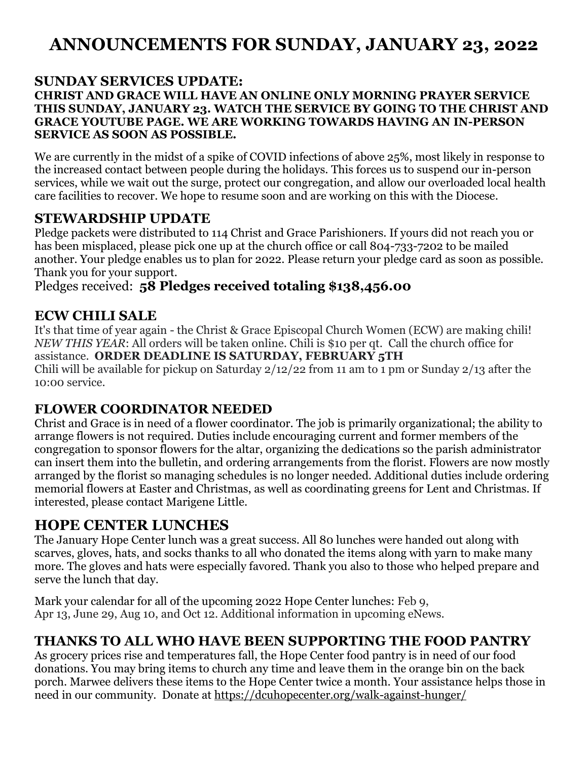# **ANNOUNCEMENTS FOR SUNDAY, JANUARY 23, 2022**

#### **SUNDAY SERVICES UPDATE: CHRIST AND GRACE WILL HAVE AN ONLINE ONLY MORNING PRAYER SERVICE THIS SUNDAY, JANUARY 23. WATCH THE SERVICE BY GOING TO THE CHRIST AND GRACE YOUTUBE PAGE. WE ARE WORKING TOWARDS HAVING AN IN-PERSON SERVICE AS SOON AS POSSIBLE.**

We are currently in the midst of a spike of COVID infections of above 25%, most likely in response to the increased contact between people during the holidays. This forces us to suspend our in-person services, while we wait out the surge, protect our congregation, and allow our overloaded local health care facilities to recover. We hope to resume soon and are working on this with the Diocese.

### **STEWARDSHIP UPDATE**

Pledge packets were distributed to 114 Christ and Grace Parishioners. If yours did not reach you or has been misplaced, please pick one up at the church office or call 804-733-7202 to be mailed another. Your pledge enables us to plan for 2022. Please return your pledge card as soon as possible. Thank you for your support.

#### Pledges received: **58 Pledges received totaling \$138,456.00**

# **ECW CHILI SALE**

It's that time of year again - the Christ & Grace Episcopal Church Women (ECW) are making chili! *NEW THIS YEAR*: All orders will be taken online. Chili is \$10 per qt. Call the church office for assistance. **ORDER DEADLINE IS SATURDAY, FEBRUARY 5TH** Chili will be available for pickup on Saturday 2/12/22 from 11 am to 1 pm or Sunday 2/13 after the 10:00 service.

### **FLOWER COORDINATOR NEEDED**

Christ and Grace is in need of a flower coordinator. The job is primarily organizational; the ability to arrange flowers is not required. Duties include encouraging current and former members of the congregation to sponsor flowers for the altar, organizing the dedications so the parish administrator can insert them into the bulletin, and ordering arrangements from the florist. Flowers are now mostly arranged by the florist so managing schedules is no longer needed. Additional duties include ordering memorial flowers at Easter and Christmas, as well as coordinating greens for Lent and Christmas. If interested, please contact Marigene Little.

# **HOPE CENTER LUNCHES**

The January Hope Center lunch was a great success. All 80 lunches were handed out along with scarves, gloves, hats, and socks thanks to all who donated the items along with yarn to make many more. The gloves and hats were especially favored. Thank you also to those who helped prepare and serve the lunch that day.

Mark your calendar for all of the upcoming 2022 Hope Center lunches: Feb 9, Apr 13, June 29, Aug 10, and Oct 12. Additional information in upcoming eNews.

# **THANKS TO ALL WHO HAVE BEEN SUPPORTING THE FOOD PANTRY**

As grocery prices rise and temperatures fall, the Hope Center food pantry is in need of our food donations. You may bring items to church any time and leave them in the orange bin on the back porch. Marwee delivers these items to the Hope Center twice a month. Your assistance helps those in need in our community. Donate at<https://dcuhopecenter.org/walk-against-hunger/>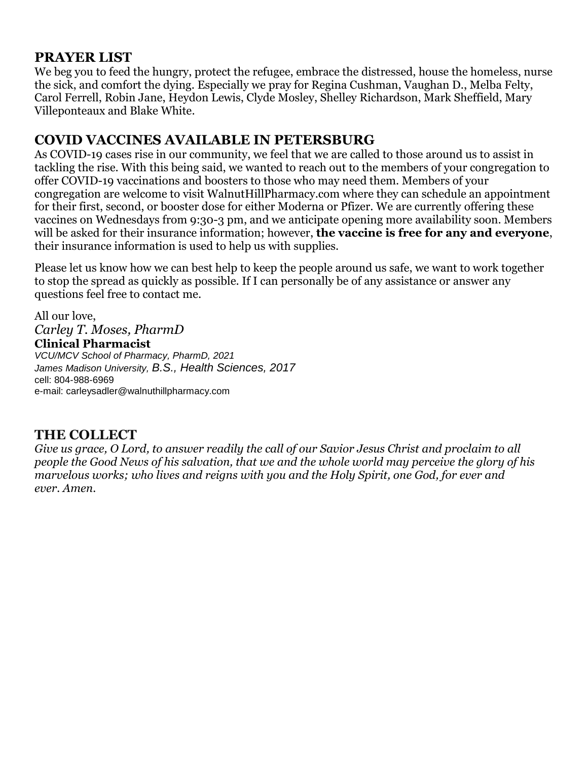### **PRAYER LIST**

We beg you to feed the hungry, protect the refugee, embrace the distressed, house the homeless, nurse the sick, and comfort the dying. Especially we pray for Regina Cushman, Vaughan D., Melba Felty, Carol Ferrell, Robin Jane, Heydon Lewis, Clyde Mosley, Shelley Richardson, Mark Sheffield, Mary Villeponteaux and Blake White.

#### **COVID VACCINES AVAILABLE IN PETERSBURG**

As COVID-19 cases rise in our community, we feel that we are called to those around us to assist in tackling the rise. With this being said, we wanted to reach out to the members of your congregation to offer COVID-19 vaccinations and boosters to those who may need them. Members of your congregation are welcome to visit WalnutHillPharmacy.com where they can schedule an appointment for their first, second, or booster dose for either Moderna or Pfizer. We are currently offering these vaccines on Wednesdays from 9:30-3 pm, and we anticipate opening more availability soon. Members will be asked for their insurance information; however, **the vaccine is free for any and everyone**, their insurance information is used to help us with supplies.

Please let us know how we can best help to keep the people around us safe, we want to work together to stop the spread as quickly as possible. If I can personally be of any assistance or answer any questions feel free to contact me.

All our love, *Carley T. Moses, PharmD* **Clinical Pharmacist** *VCU/MCV School of Pharmacy, PharmD, 2021 James Madison University, B.S., Health Sciences, 2017* cell: 804-988-6969 e-mail: [carleysadler@walnuthillpharmacy.com](mailto:carleysadler@walnuthillpharmacy.com)

### **THE COLLECT**

*Give us grace, O Lord, to answer readily the call of our Savior Jesus Christ and proclaim to all people the Good News of his salvation, that we and the whole world may perceive the glory of his marvelous works; who lives and reigns with you and the Holy Spirit, one God, for ever and ever. Amen.*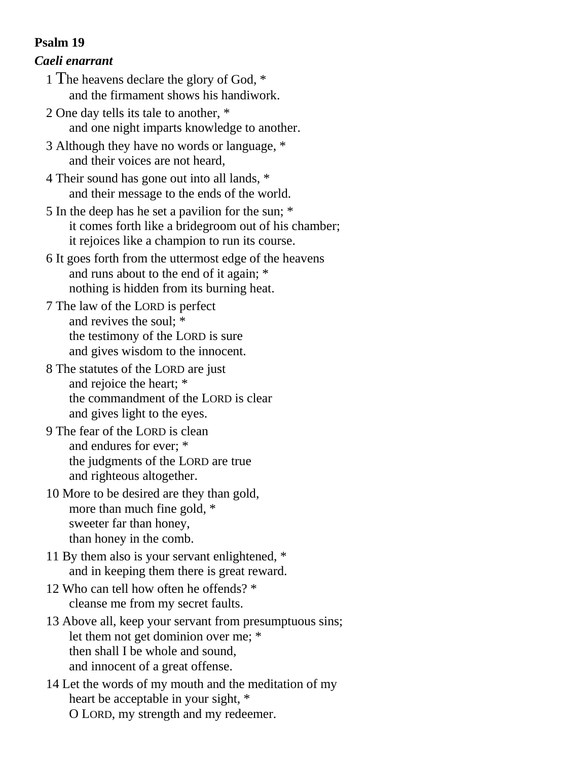#### **Psalm 19**

#### *Caeli enarrant*

- 1 The heavens declare the glory of God, \* and the firmament shows his handiwork.
- 2 One day tells its tale to another, \* and one night imparts knowledge to another.
- 3 Although they have no words or language, \* and their voices are not heard,
- 4 Their sound has gone out into all lands, \* and their message to the ends of the world.
- 5 In the deep has he set a pavilion for the sun; \* it comes forth like a bridegroom out of his chamber; it rejoices like a champion to run its course.
- 6 It goes forth from the uttermost edge of the heavens and runs about to the end of it again; \* nothing is hidden from its burning heat.
- 7 The law of the LORD is perfect and revives the soul; \* the testimony of the LORD is sure and gives wisdom to the innocent.
- 8 The statutes of the LORD are just and rejoice the heart; \* the commandment of the LORD is clear and gives light to the eyes.
- 9 The fear of the LORD is clean and endures for ever; \* the judgments of the LORD are true and righteous altogether.
- 10 More to be desired are they than gold, more than much fine gold, \* sweeter far than honey, than honey in the comb.
- 11 By them also is your servant enlightened, \* and in keeping them there is great reward.
- 12 Who can tell how often he offends? \* cleanse me from my secret faults.
- 13 Above all, keep your servant from presumptuous sins; let them not get dominion over me; \* then shall I be whole and sound, and innocent of a great offense.
- 14 Let the words of my mouth and the meditation of my heart be acceptable in your sight, \* O LORD, my strength and my redeemer.